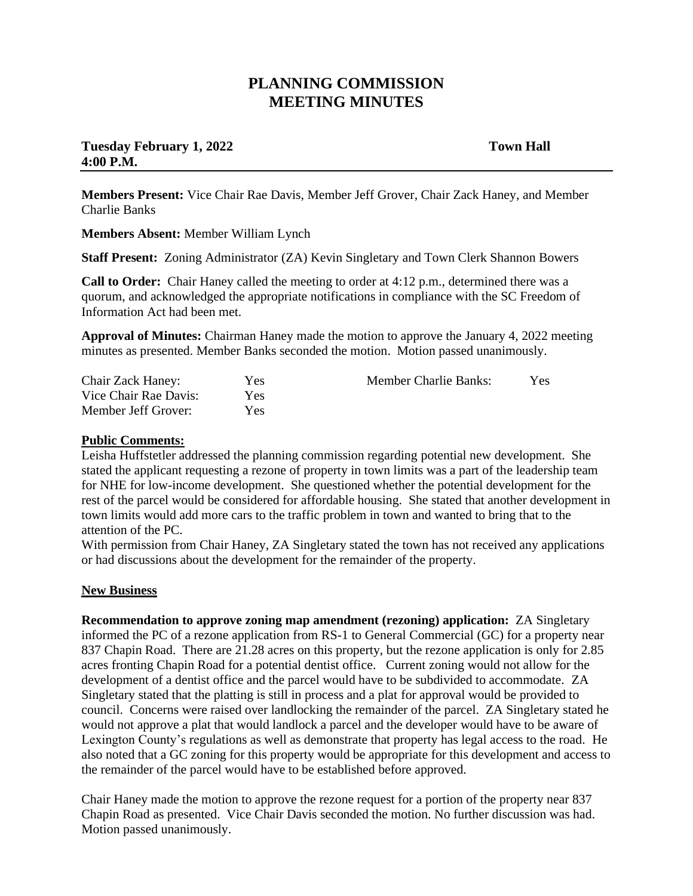## **PLANNING COMMISSION MEETING MINUTES**

## **Tuesday February 1, 2022** Town Hall **4:00 P.M.**

**Members Present:** Vice Chair Rae Davis, Member Jeff Grover, Chair Zack Haney, and Member Charlie Banks

**Members Absent:** Member William Lynch

**Staff Present:** Zoning Administrator (ZA) Kevin Singletary and Town Clerk Shannon Bowers

**Call to Order:** Chair Haney called the meeting to order at 4:12 p.m., determined there was a quorum, and acknowledged the appropriate notifications in compliance with the SC Freedom of Information Act had been met.

**Approval of Minutes:** Chairman Haney made the motion to approve the January 4, 2022 meeting minutes as presented. Member Banks seconded the motion. Motion passed unanimously.

| <b>Chair Zack Haney:</b> | <b>Yes</b> | <b>Member Charlie Banks:</b> | Yes |
|--------------------------|------------|------------------------------|-----|
| Vice Chair Rae Davis:    | Yes.       |                              |     |
| Member Jeff Grover:      | Yes        |                              |     |

## **Public Comments:**

Leisha Huffstetler addressed the planning commission regarding potential new development. She stated the applicant requesting a rezone of property in town limits was a part of the leadership team for NHE for low-income development. She questioned whether the potential development for the rest of the parcel would be considered for affordable housing. She stated that another development in town limits would add more cars to the traffic problem in town and wanted to bring that to the attention of the PC.

With permission from Chair Haney, ZA Singletary stated the town has not received any applications or had discussions about the development for the remainder of the property.

## **New Business**

**Recommendation to approve zoning map amendment (rezoning) application:** ZA Singletary informed the PC of a rezone application from RS-1 to General Commercial (GC) for a property near 837 Chapin Road. There are 21.28 acres on this property, but the rezone application is only for 2.85 acres fronting Chapin Road for a potential dentist office. Current zoning would not allow for the development of a dentist office and the parcel would have to be subdivided to accommodate. ZA Singletary stated that the platting is still in process and a plat for approval would be provided to council. Concerns were raised over landlocking the remainder of the parcel. ZA Singletary stated he would not approve a plat that would landlock a parcel and the developer would have to be aware of Lexington County's regulations as well as demonstrate that property has legal access to the road. He also noted that a GC zoning for this property would be appropriate for this development and access to the remainder of the parcel would have to be established before approved.

Chair Haney made the motion to approve the rezone request for a portion of the property near 837 Chapin Road as presented. Vice Chair Davis seconded the motion. No further discussion was had. Motion passed unanimously.